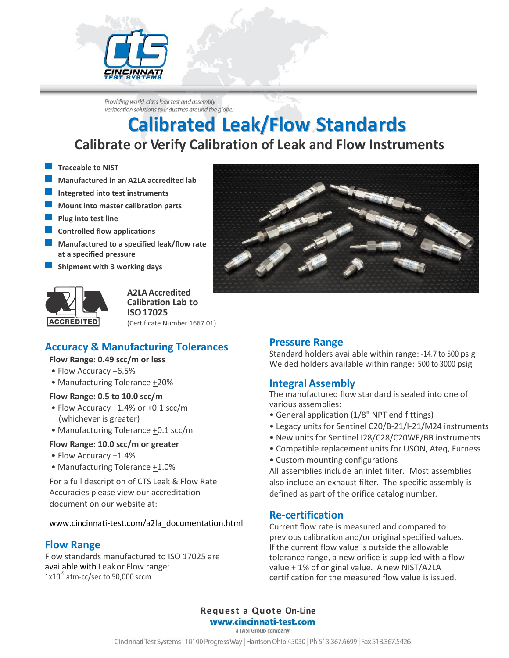

Providing world-class leak test and assembly verification solutions to industries around the globe.

## **Calibrated Leak/Flow Standards Calibrate or Verify Calibration of Leak and Flow Instruments**

- **Traceable to NIST**
- **Manufactured in an A2LA accredited lab**
- **Integrated into test instruments**
- **Mount into master calibration parts**
- **Plug into test line**
- **Controlled flow applications**
- **Manufactured to a specified leak/flow rate at a specified pressure**
- **Shipment with 3 working days**



**A2LAAccredited Calibration Lab to ISO17025** (Certificate Number 1667.01)

### **Accuracy & Manufacturing Tolerances**

### **Flow Range: 0.49 scc/m or less**

- Flow Accuracy +6.5%
- Manufacturing Tolerance +20%

### **Flow Range: 0.5 to 10.0 scc/m**

- Flow Accuracy +1.4% or +0.1 scc/m (whichever is greater)
- Manufacturing Tolerance +0.1 scc/m

### **Flow Range: 10.0 scc/m or greater**

- Flow Accuracy +1.4%
- Manufacturing Tolerance +1.0%

For a full description of CTS Leak & Flow Rate Accuracies please view our accreditation document on our website at:

www.cincinnati-test.com/a2la\_documentation.html

### **Flow Range**

Flow standards manufactured to ISO 17025 are available with Leakor Flow range:  $1x10^{-5}$  atm-cc/sec to 50,000 sccm

### **Pressure Range** Standard holders available within range: -14.7 to 500 psig Welded holders available within range: 500 to 3000 psig

### **Integral Assembly**

The manufactured flow standard is sealed into one of various assemblies:

- General application (1/8" NPT end fittings)
- Legacy units for Sentinel C20/B-21/I-21/M24 instruments
- New units for Sentinel I28/C28/C20WE/BB instruments
- Compatible replacement units for USON, Ateq, Furness
- Custom mounting configurations

All assemblies include an inlet filter. Most assemblies also include an exhaust filter. The specific assembly is defined as part of the orifice catalog number.

### **Re-certification**

Current flow rate is measured and compared to previous calibration and/or original specified values. If the current flow value is outside the allowable tolerance range, a new orifice is supplied with a flow value + 1% of original value. A new NIST/A2LA certification for the measured flow value is issued.

**Request a Quote On-Line** www.cincinnati-test.com